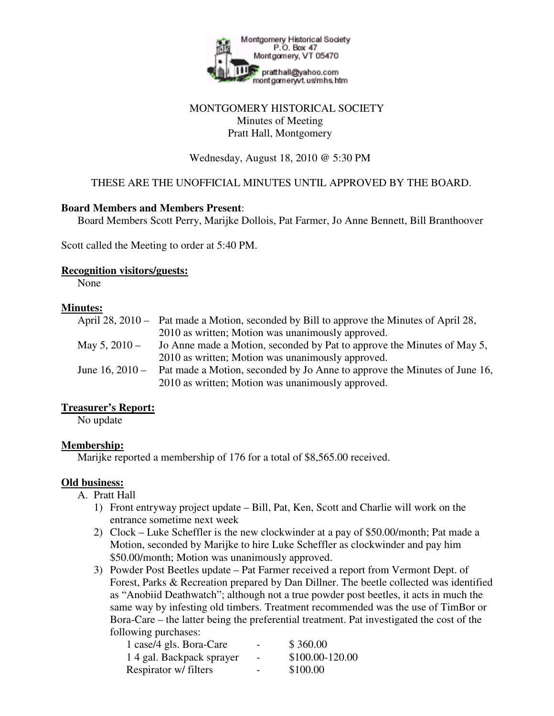

# MONTGOMERY HISTORICAL SOCIETY Minutes of Meeting Pratt Hall, Montgomery

#### Wednesday, August 18, 2010 @ 5:30 PM

# THESE ARE THE UNOFFICIAL MINUTES UNTIL APPROVED BY THE BOARD.

#### **Board Members and Members Present**:

Board Members Scott Perry, Marijke Dollois, Pat Farmer, Jo Anne Bennett, Bill Branthoover

Scott called the Meeting to order at 5:40 PM.

#### **Recognition visitors/guests:**

None

#### **Minutes:**

|                 | April 28, 2010 – Pat made a Motion, seconded by Bill to approve the Minutes of April 28, |
|-----------------|------------------------------------------------------------------------------------------|
|                 | 2010 as written; Motion was unanimously approved.                                        |
| May 5, 2010 –   | Jo Anne made a Motion, seconded by Pat to approve the Minutes of May 5,                  |
|                 | 2010 as written; Motion was unanimously approved.                                        |
| June 16, 2010 – | Pat made a Motion, seconded by Jo Anne to approve the Minutes of June 16,                |
|                 | 2010 as written; Motion was unanimously approved.                                        |
|                 |                                                                                          |

# **Treasurer's Report:**

No update

# **Membership:**

Marijke reported a membership of 176 for a total of \$8,565.00 received.

# **Old business:**

A. Pratt Hall

- 1) Front entryway project update Bill, Pat, Ken, Scott and Charlie will work on the entrance sometime next week
- 2) Clock Luke Scheffler is the new clockwinder at a pay of \$50.00/month; Pat made a Motion, seconded by Marijke to hire Luke Scheffler as clockwinder and pay him \$50.00/month; Motion was unanimously approved.
- 3) Powder Post Beetles update Pat Farmer received a report from Vermont Dept. of Forest, Parks & Recreation prepared by Dan Dillner. The beetle collected was identified as "Anobiid Deathwatch"; although not a true powder post beetles, it acts in much the same way by infesting old timbers. Treatment recommended was the use of TimBor or Bora-Care – the latter being the preferential treatment. Pat investigated the cost of the following purchases:

| 1 case/4 gls. Bora-Care  | -                        | \$360.00        |
|--------------------------|--------------------------|-----------------|
| 14 gal. Backpack sprayer | $\overline{\phantom{a}}$ | \$100.00-120.00 |
| Respirator w/ filters    | $\overline{\phantom{0}}$ | \$100.00        |